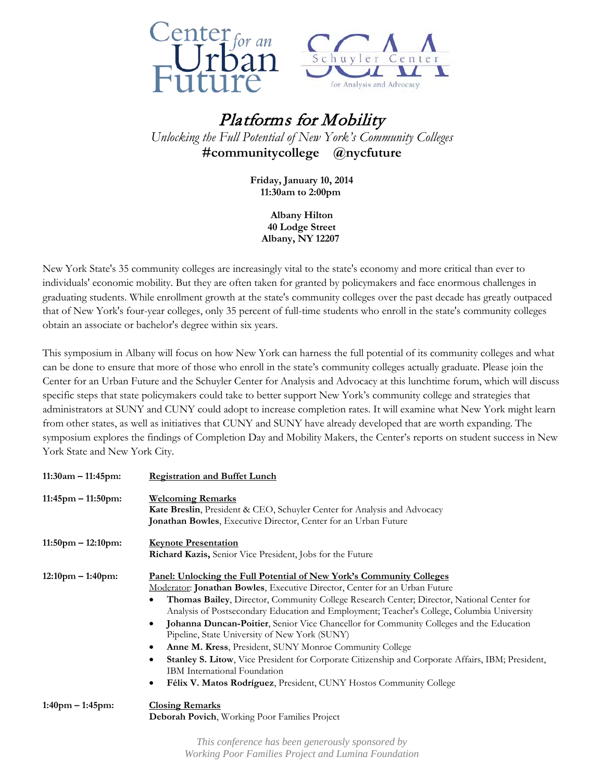



## Platforms for Mobility *Unlocking the Full Potential of New York's Community Colleges*  **#communitycollege @nycfuture**

**Friday, January 10, 2014 11:30am to 2:00pm** 

> **Albany Hilton 40 Lodge Street Albany, NY 12207**

New York State's 35 community colleges are increasingly vital to the state's economy and more critical than ever to individuals' economic mobility. But they are often taken for granted by policymakers and face enormous challenges in graduating students. While enrollment growth at the state's community colleges over the past decade has greatly outpaced that of New York's four-year colleges, only 35 percent of full-time students who enroll in the state's community colleges obtain an associate or bachelor's degree within six years.

This symposium in Albany will focus on how New York can harness the full potential of its community colleges and what can be done to ensure that more of those who enroll in the state's community colleges actually graduate. Please join the Center for an Urban Future and the Schuyler Center for Analysis and Advocacy at this lunchtime forum, which will discuss specific steps that state policymakers could take to better support New York's community college and strategies that administrators at SUNY and CUNY could adopt to increase completion rates. It will examine what New York might learn from other states, as well as initiatives that CUNY and SUNY have already developed that are worth expanding. The symposium explores the findings of Completion Day and Mobility Makers, the Center's reports on student success in New York State and New York City.

| 11:30am – 11:45pm:                  | <b>Registration and Buffet Lunch</b>                                                                                                                                                                                                                                                                                                                                                                                                                                                                                                                                                                                                                                                                                                                                                                   |
|-------------------------------------|--------------------------------------------------------------------------------------------------------------------------------------------------------------------------------------------------------------------------------------------------------------------------------------------------------------------------------------------------------------------------------------------------------------------------------------------------------------------------------------------------------------------------------------------------------------------------------------------------------------------------------------------------------------------------------------------------------------------------------------------------------------------------------------------------------|
| $11:45$ pm – $11:50$ pm:            | <b>Welcoming Remarks</b><br><b>Kate Breslin, President &amp; CEO, Schuyler Center for Analysis and Advocacy</b><br><b>Jonathan Bowles, Executive Director, Center for an Urban Future</b>                                                                                                                                                                                                                                                                                                                                                                                                                                                                                                                                                                                                              |
| $11:50 \text{pm} - 12:10 \text{pm}$ | <b>Keynote Presentation</b><br>Richard Kazis, Senior Vice President, Jobs for the Future                                                                                                                                                                                                                                                                                                                                                                                                                                                                                                                                                                                                                                                                                                               |
| $12:10 \text{pm} - 1:40 \text{pm}$  | Panel: Unlocking the Full Potential of New York's Community Colleges<br>Moderator: Jonathan Bowles, Executive Director, Center for an Urban Future<br>Thomas Bailey, Director, Community College Research Center; Director, National Center for<br>Analysis of Postsecondary Education and Employment; Teacher's College, Columbia University<br>Johanna Duncan-Poitier, Senior Vice Chancellor for Community Colleges and the Education<br>$\bullet$<br>Pipeline, State University of New York (SUNY)<br>Anne M. Kress, President, SUNY Monroe Community College<br>$\bullet$<br>Stanley S. Litow, Vice President for Corporate Citizenship and Corporate Affairs, IBM; President,<br>IBM International Foundation<br>Félix V. Matos Rodríguez, President, CUNY Hostos Community College<br>$\bullet$ |
| 1:40pm – 1:45pm:                    | <b>Closing Remarks</b><br>Deborah Povich, Working Poor Families Project                                                                                                                                                                                                                                                                                                                                                                                                                                                                                                                                                                                                                                                                                                                                |

*This conference has been generously sponsored by Working Poor Families Project and Lumina Foundation*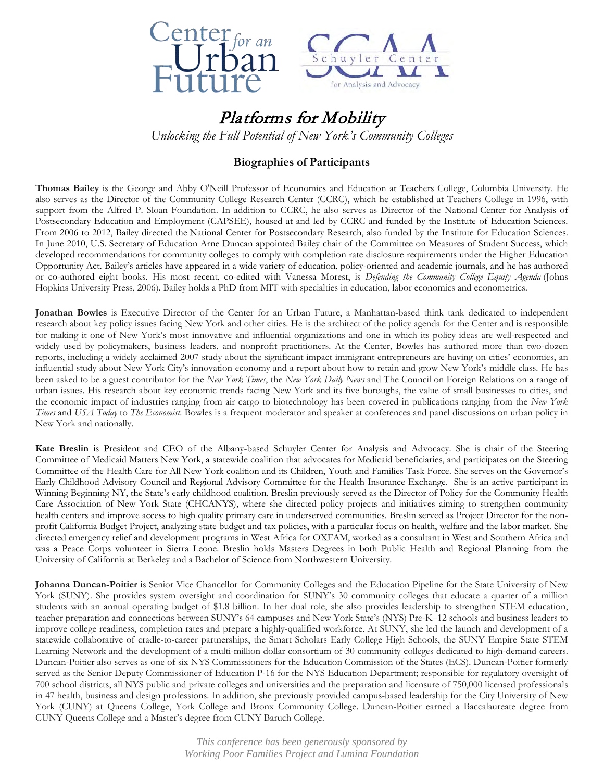

# Platforms for Mobility

*Unlocking the Full Potential of New York's Community Colleges* 

## **Biographies of Participants**

**Thomas Bailey** is the George and Abby O'Neill Professor of Economics and Education at Teachers College, Columbia University. He also serves as the Director of the Community College Research Center (CCRC), which he established at Teachers College in 1996, with support from the Alfred P. Sloan Foundation. In addition to CCRC, he also serves as Director of the National [Center for Analysis of](http://capseecenter.org/)  [Postsecondary Education and Employment](http://capseecenter.org/) (CAPSEE), housed at and led by CCRC and funded by the Institute of Education Sciences. From 2006 to 2012, Bailey directed the [National Center for Postsecondary Research,](http://www.postsecondaryresearch.org/) also funded by the Institute for Education Sciences. In June 2010, U.S. Secretary of Education Arne Duncan appointed Bailey chair of the Committee on Measures of Student Success, which developed recommendations for community colleges to comply with completion rate disclosure requirements under the Higher Education Opportunity Act. Bailey's articles have appeared in a wide variety of education, policy-oriented and academic journals, and he has authored or co-authored eight books. His most recent, co-edited with Vanessa Morest, is *[Defending the Community College Equity Agenda](http://ccrc.tc.columbia.edu/Publication.asp?UID=402)* (Johns Hopkins University Press, 2006). Bailey holds a PhD from MIT with specialties in education, labor economics and econometrics.

**Jonathan Bowles** is Executive Director of the Center for an Urban Future, a Manhattan-based think tank dedicated to independent research about key policy issues facing New York and other cities. He is the architect of the policy agenda for the Center and is responsible for making it one of New York's most innovative and influential organizations and one in which its policy ideas are well-respected and widely used by policymakers, business leaders, and nonprofit practitioners. At the Center, Bowles has authored more than two-dozen reports, including a widely acclaimed 2007 study about the significant impact immigrant entrepreneurs are having on cities' economies, an influential study about New York City's innovation economy and a report about how to retain and grow New York's middle class. He has been asked to be a guest contributor for the *New York Times*, the *New York Daily News* and The Council on Foreign Relations on a range of urban issues. His research about key economic trends facing New York and its five boroughs, the value of small businesses to cities, and the economic impact of industries ranging from air cargo to biotechnology has been covered in publications ranging from the *New York Times* and *USA Today* to *The Economist*. Bowles is a frequent moderator and speaker at conferences and panel discussions on urban policy in New York and nationally.

**Kate Breslin** is President and CEO of the Albany-based Schuyler Center for Analysis and Advocacy. She is chair of the Steering Committee of Medicaid Matters New York, a statewide coalition that advocates for Medicaid beneficiaries, and participates on the Steering Committee of the Health Care for All New York coalition and its Children, Youth and Families Task Force. She serves on the Governor's Early Childhood Advisory Council and Regional Advisory Committee for the Health Insurance Exchange. She is an active participant in Winning Beginning NY, the State's early childhood coalition. Breslin previously served as the Director of Policy for the Community Health Care Association of New York State (CHCANYS), where she directed policy projects and initiatives aiming to strengthen community health centers and improve access to high quality primary care in underserved communities. Breslin served as Project Director for the nonprofit California Budget Project, analyzing state budget and tax policies, with a particular focus on health, welfare and the labor market. She directed emergency relief and development programs in West Africa for OXFAM, worked as a consultant in West and Southern Africa and was a Peace Corps volunteer in Sierra Leone. Breslin holds Masters Degrees in both Public Health and Regional Planning from the University of California at Berkeley and a Bachelor of Science from Northwestern University.

**Johanna Duncan-Poitier** is Senior Vice Chancellor for Community Colleges and the Education Pipeline for the State University of New York (SUNY). She provides system oversight and coordination for SUNY's 30 community colleges that educate a quarter of a million students with an annual operating budget of \$1.8 billion. In her dual role, she also provides leadership to strengthen STEM education, teacher preparation and connections between SUNY's 64 campuses and New York State's (NYS) Pre-K–12 schools and business leaders to improve college readiness, completion rates and prepare a highly-qualified workforce. At SUNY, she led the launch and development of a statewide collaborative of cradle-to-career partnerships, the Smart Scholars Early College High Schools, the SUNY Empire State STEM Learning Network and the development of a multi-million dollar consortium of 30 community colleges dedicated to high-demand careers. Duncan-Poitier also serves as one of six NYS Commissioners for the Education Commission of the States (ECS). Duncan-Poitier formerly served as the Senior Deputy Commissioner of Education P-16 for the NYS Education Department; responsible for regulatory oversight of 700 school districts, all NYS public and private colleges and universities and the preparation and licensure of 750,000 licensed professionals in 47 health, business and design professions. In addition, she previously provided campus-based leadership for the City University of New York (CUNY) at Queens College, York College and Bronx Community College. Duncan-Poitier earned a Baccalaureate degree from CUNY Queens College and a Master's degree from CUNY Baruch College.

> *This conference has been generously sponsored by Working Poor Families Project and Lumina Foundation*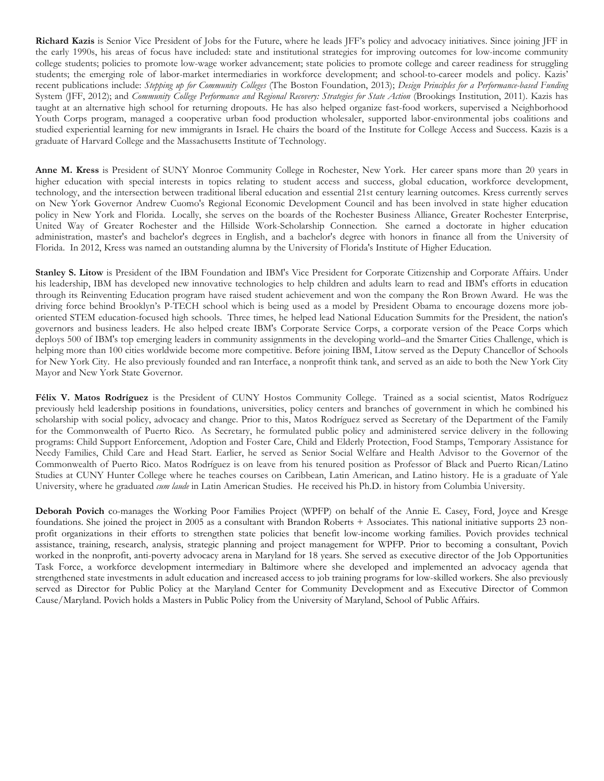**Richard Kazis** is Senior Vice President of Jobs for the Future, where he leads JFF's policy and advocacy initiatives. Since joining JFF in the early 1990s, his areas of focus have included: state and institutional strategies for improving outcomes for low-income community college students; policies to promote low-wage worker advancement; state policies to promote college and career readiness for struggling students; the emerging role of labor-market intermediaries in workforce development; and school-to-career models and policy. Kazis' recent publications include: *Stepping up for Community Colleges* (The Boston Foundation, 2013); *Design Principles for a Performance-based Funding*  System (JFF, 2012); and *Community College Performance and Regional Recovery: Strategies for State Action* (Brookings Institution, 2011). Kazis has taught at an alternative high school for returning dropouts. He has also helped organize fast-food workers, supervised a Neighborhood Youth Corps program, managed a cooperative urban food production wholesaler, supported labor-environmental jobs coalitions and studied experiential learning for new immigrants in Israel. He chairs the board of the Institute for College Access and Success. Kazis is a graduate of Harvard College and the Massachusetts Institute of Technology.

**Anne M. Kress** is President of SUNY Monroe Community College in Rochester, New York. Her career spans more than 20 years in higher education with special interests in topics relating to student access and success, global education, workforce development, technology, and the intersection between traditional liberal education and essential 21st century learning outcomes. Kress currently serves on New York Governor Andrew Cuomo's Regional Economic Development Council and has been involved in state higher education policy in New York and Florida. Locally, she serves on the boards of the Rochester Business Alliance, Greater Rochester Enterprise, United Way of Greater Rochester and the Hillside Work-Scholarship Connection. She earned a doctorate in higher education administration, master's and bachelor's degrees in English, and a bachelor's degree with honors in finance all from the University of Florida. In 2012, Kress was named an outstanding alumna by the University of Florida's Institute of Higher Education.

**Stanley S. Litow** is President of the IBM Foundation and IBM's Vice President for Corporate Citizenship and Corporate Affairs. Under his leadership, IBM has developed new innovative technologies to help children and adults learn to read and IBM's efforts in education through its Reinventing Education program have raised student achievement and won the company the Ron Brown Award. He was the driving force behind Brooklyn's P-TECH school which is being used as a model by President Obama to encourage dozens more joboriented STEM education-focused high schools. Three times, he helped lead National Education Summits for the President, the nation's governors and business leaders. He also helped create IBM's Corporate Service Corps, a corporate version of the Peace Corps which deploys 500 of IBM's top emerging leaders in community assignments in the developing world–and the Smarter Cities Challenge, which is helping more than 100 cities worldwide become more competitive. Before joining IBM, Litow served as the Deputy Chancellor of Schools for New York City. He also previously founded and ran Interface, a nonprofit think tank, and served as an aide to both the New York City Mayor and New York State Governor.

**Félix V. Matos Rodríguez** is the President of CUNY Hostos Community College. Trained as a social scientist, Matos Rodríguez previously held leadership positions in foundations, universities, policy centers and branches of government in which he combined his scholarship with social policy, advocacy and change. Prior to this, Matos Rodríguez served as Secretary of the Department of the Family for the Commonwealth of Puerto Rico. As Secretary, he formulated public policy and administered service delivery in the following programs: Child Support Enforcement, Adoption and Foster Care, Child and Elderly Protection, Food Stamps, Temporary Assistance for Needy Families, Child Care and Head Start. Earlier, he served as Senior Social Welfare and Health Advisor to the Governor of the Commonwealth of Puerto Rico. Matos Rodríguez is on leave from his tenured position as Professor of Black and Puerto Rican/Latino Studies at CUNY Hunter College where he teaches courses on Caribbean, Latin American, and Latino history. He is a graduate of Yale University, where he graduated *cum laude* in Latin American Studies. He received his Ph.D. in history from Columbia University.

**Deborah Povich** co-manages the Working Poor Families Project (WPFP) on behalf of the Annie E. Casey, Ford, Joyce and Kresge foundations. She joined the project in 2005 as a consultant with Brandon Roberts + Associates. This national initiative supports 23 nonprofit organizations in their efforts to strengthen state policies that benefit low-income working families. Povich provides technical assistance, training, research, analysis, strategic planning and project management for WPFP. Prior to becoming a consultant, Povich worked in the nonprofit, anti-poverty advocacy arena in Maryland for 18 years. She served as executive director of the Job Opportunities Task Force, a workforce development intermediary in Baltimore where she developed and implemented an advocacy agenda that strengthened state investments in adult education and increased access to job training programs for low-skilled workers. She also previously served as Director for Public Policy at the Maryland Center for Community Development and as Executive Director of Common Cause/Maryland. Povich holds a Masters in Public Policy from the University of Maryland, School of Public Affairs.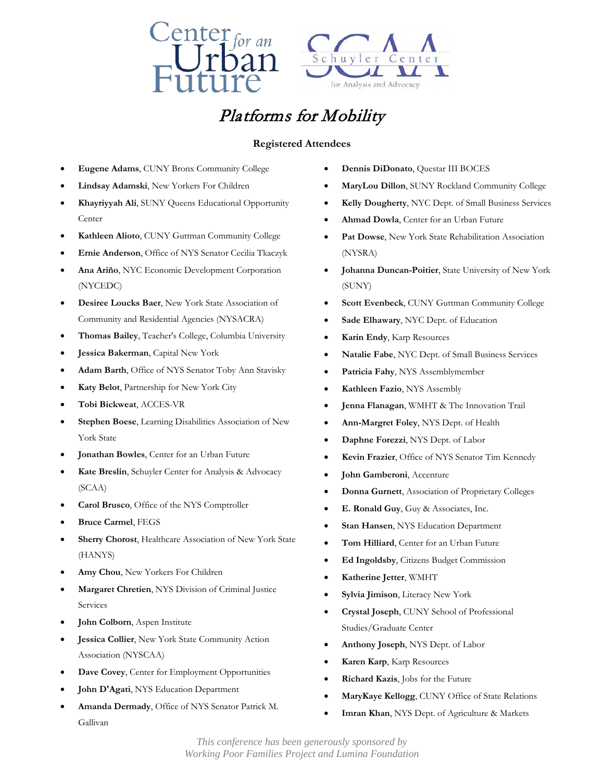



# Platforms for Mobility

### **Registered Attendees**

- **Eugene Adams**, CUNY Bronx Community College
- **Lindsay Adamski**, New Yorkers For Children
- **Khayriyyah Ali**, SUNY Queens Educational Opportunity **Center**
- **Kathleen Alioto**, CUNY Guttman Community College
- **Ernie Anderson**, Office of NYS Senator Cecilia Tkaczyk
- **Ana Ariňo**, NYC Economic Development Corporation (NYCEDC)
- **Desiree Loucks Baer**, New York State Association of Community and Residential Agencies (NYSACRA)
- **Thomas Bailey**, Teacher's College, Columbia University
- **Jessica Bakerman**, Capital New York
- **Adam Barth**, Office of NYS Senator Toby Ann Stavisky
- **Katy Belot**, Partnership for New York City
- **Tobi Bickweat**, ACCES-VR
- **Stephen Boese**, Learning Disabilities Association of New York State
- **Jonathan Bowles**, Center for an Urban Future
- **Kate Breslin**, Schuyler Center for Analysis & Advocacy (SCAA)
- **Carol Brusco**, Office of the NYS Comptroller
- **Bruce Carmel**, FEGS
- **Sherry Chorost**, Healthcare Association of New York State (HANYS)
- **Amy Chou**, New Yorkers For Children
- **Margaret Chretien**, NYS Division of Criminal Justice Services
- **John Colborn**, Aspen Institute

Gallivan

- **Jessica Collier**, New York State Community Action Association (NYSCAA)
- **Dave Covey**, Center for Employment Opportunities
- **John D'Agati**, NYS Education Department
- **Amanda Dermady**, Office of NYS Senator Patrick M.
- **Dennis DiDonato**, Questar III BOCES
- **MaryLou Dillon**, SUNY Rockland Community College
- **Kelly Dougherty**, NYC Dept. of Small Business Services
- **Ahmad Dowla**, Center for an Urban Future
- **Pat Dowse**, New York State Rehabilitation Association (NYSRA)
- **Johanna Duncan-Poitier**, State University of New York (SUNY)
- Scott Evenbeck, CUNY Guttman Community College
- **Sade Elhawary**, NYC Dept. of Education
- **Karin Endy**, Karp Resources
- **Natalie Fabe**, NYC Dept. of Small Business Services
- **Patricia Fahy**, NYS Assemblymember
- **Kathleen Fazio**, NYS Assembly
- **Jenna Flanagan**, WMHT & The Innovation Trail
- **Ann-Margret Foley**, NYS Dept. of Health
- **Daphne Forezzi**, NYS Dept. of Labor
- **Kevin Frazier**, Office of NYS Senator Tim Kennedy
- **John Gamberoni**, Accenture
- **Donna Gurnett**, Association of Proprietary Colleges
- **E. Ronald Guy**, Guy & Associates, Inc.
- **Stan Hansen**, NYS Education Department
- **Tom Hilliard**, Center for an Urban Future
- **Ed Ingoldsby**, Citizens Budget Commission
- **Katherine Jetter**, WMHT
- **Sylvia Jimison**, Literacy New York
- **Crystal Joseph**, CUNY School of Professional Studies/Graduate Center
- **Anthony Joseph**, NYS Dept. of Labor
- **Karen Karp**, Karp Resources
- **Richard Kazis**, Jobs for the Future
- **MaryKaye Kellogg**, CUNY Office of State Relations
- **Imran Khan**, NYS Dept. of Agriculture & Markets

*This conference has been generously sponsored by Working Poor Families Project and Lumina Foundation*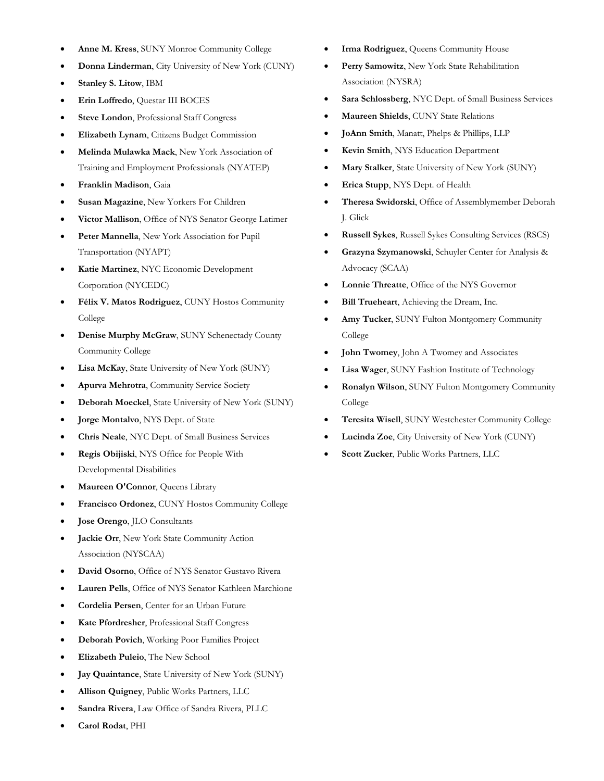- **Anne M. Kress**, SUNY Monroe Community College
- **Donna Linderman**, City University of New York (CUNY)
- **Stanley S. Litow**, IBM
- **Erin Loffredo**, Questar III BOCES
- **Steve London**, Professional Staff Congress
- **Elizabeth Lynam**, Citizens Budget Commission
- **Melinda Mulawka Mack**, New York Association of Training and Employment Professionals (NYATEP)
- **Franklin Madison**, Gaia
- **Susan Magazine**, New Yorkers For Children
- **Victor Mallison**, Office of NYS Senator George Latimer
- Peter Mannella, New York Association for Pupil Transportation (NYAPT)
- **Katie Martinez**, NYC Economic Development Corporation (NYCEDC)
- **Félix V. Matos Rodriguez**, CUNY Hostos Community College
- **Denise Murphy McGraw**, SUNY Schenectady County Community College
- **Lisa McKay**, State University of New York (SUNY)
- **Apurva Mehrotra**, Community Service Society
- **Deborah Moeckel**, State University of New York (SUNY)
- **Jorge Montalvo**, NYS Dept. of State
- **Chris Neale**, NYC Dept. of Small Business Services
- **Regis Obijiski**, NYS Office for People With Developmental Disabilities
- **Maureen O'Connor**, Queens Library
- **Francisco Ordonez**, CUNY Hostos Community College
- **Jose Orengo**, JLO Consultants
- **Jackie Orr, New York State Community Action** Association (NYSCAA)
- **David Osorno**, Office of NYS Senator Gustavo Rivera
- **Lauren Pells**, Office of NYS Senator Kathleen Marchione
- **Cordelia Persen**, Center for an Urban Future
- **Kate Pfordresher**, Professional Staff Congress
- **Deborah Povich**, Working Poor Families Project
- **Elizabeth Puleio**, The New School
- **Jay Quaintance**, State University of New York (SUNY)
- **Allison Quigney**, Public Works Partners, LLC
- **Sandra Rivera**, Law Office of Sandra Rivera, PLLC
- **Carol Rodat**, PHI
- **Irma Rodriguez**, Queens Community House
- **Perry Samowitz**, New York State Rehabilitation Association (NYSRA)
- **Sara Schlossberg**, NYC Dept. of Small Business Services
- **Maureen Shields**, CUNY State Relations
- **JoAnn Smith**, Manatt, Phelps & Phillips, LLP
- **Kevin Smith**, NYS Education Department
- **Mary Stalker**, State University of New York (SUNY)
- **Erica Stupp**, NYS Dept. of Health
- **Theresa Swidorski**, Office of Assemblymember Deborah J. Glick
- **Russell Sykes**, Russell Sykes Consulting Services (RSCS)
- **Grazyna Szymanowski**, Schuyler Center for Analysis & Advocacy (SCAA)
- **Lonnie Threatte**, Office of the NYS Governor
- **Bill Trueheart**, Achieving the Dream, Inc.
- Amy Tucker, SUNY Fulton Montgomery Community College
- **John Twomey**, John A Twomey and Associates
- **Lisa Wager**, SUNY Fashion Institute of Technology
- **Ronalyn Wilson**, SUNY Fulton Montgomery Community College
- **Teresita Wisell**, SUNY Westchester Community College
- **Lucinda Zoe**, City University of New York (CUNY)
- **Scott Zucker**, Public Works Partners, LLC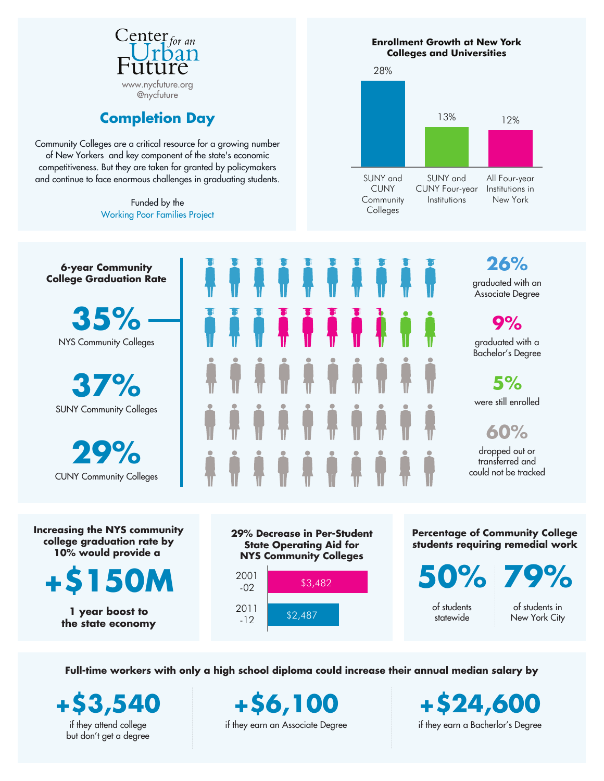

## **Completion Day**

Community Colleges are a critical resource for a growing number of New Yorkers and key component of the state's economic competitiveness. But they are taken for granted by policymakers and continue to face enormous challenges in graduating students.

> Funded by the Working Poor Families Project





**+\$150M**

**1 year boost to the state economy**



**Percentage of Community College students requiring remedial work**

**50%**

of students statewide

**79%**

of students in New York City

**Full-time workers with only a high school diploma could increase their annual median salary by**

**+\$3,540** if they attend college but don't get a degree

**+\$6,100** if they earn an Associate Degree

**+\$24,600** if they earn a Bacherlor's Degree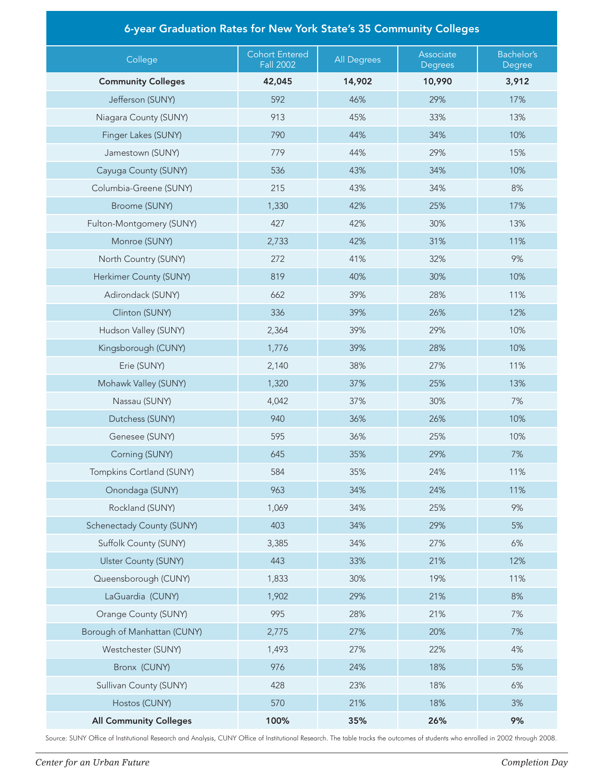| 6-year Graduation Rates for New York State's 35 Community Colleges |                                           |                    |                      |                      |  |  |
|--------------------------------------------------------------------|-------------------------------------------|--------------------|----------------------|----------------------|--|--|
| College                                                            | <b>Cohort Entered</b><br><b>Fall 2002</b> | <b>All Degrees</b> | Associate<br>Degrees | Bachelor's<br>Degree |  |  |
| <b>Community Colleges</b>                                          | 42,045                                    | 14,902             | 10,990               | 3,912                |  |  |
| Jefferson (SUNY)                                                   | 592                                       | 46%                | 29%                  | 17%                  |  |  |
| Niagara County (SUNY)                                              | 913                                       | 45%                | 33%                  | 13%                  |  |  |
| Finger Lakes (SUNY)                                                | 790                                       | 44%                | 34%                  | 10%                  |  |  |
| Jamestown (SUNY)                                                   | 779                                       | 44%                | 29%                  | 15%                  |  |  |
| Cayuga County (SUNY)                                               | 536                                       | 43%                | 34%                  | 10%                  |  |  |
| Columbia-Greene (SUNY)                                             | 215                                       | 43%                | 34%                  | 8%                   |  |  |
| Broome (SUNY)                                                      | 1,330                                     | 42%                | 25%                  | 17%                  |  |  |
| Fulton-Montgomery (SUNY)                                           | 427                                       | 42%                | 30%                  | 13%                  |  |  |
| Monroe (SUNY)                                                      | 2,733                                     | 42%                | 31%                  | 11%                  |  |  |
| North Country (SUNY)                                               | 272                                       | 41%                | 32%                  | 9%                   |  |  |
| Herkimer County (SUNY)                                             | 819                                       | 40%                | 30%                  | 10%                  |  |  |
| Adirondack (SUNY)                                                  | 662                                       | 39%                | 28%                  | 11%                  |  |  |
| Clinton (SUNY)                                                     | 336                                       | 39%                | 26%                  | 12%                  |  |  |
| Hudson Valley (SUNY)                                               | 2,364                                     | 39%                | 29%                  | 10%                  |  |  |
| Kingsborough (CUNY)                                                | 1,776                                     | 39%                | 28%                  | 10%                  |  |  |
| Erie (SUNY)                                                        | 2,140                                     | 38%                | 27%                  | 11%                  |  |  |
| Mohawk Valley (SUNY)                                               | 1,320                                     | 37%                | 25%                  | 13%                  |  |  |
| Nassau (SUNY)                                                      | 4,042                                     | 37%                | 30%                  | 7%                   |  |  |
| Dutchess (SUNY)                                                    | 940                                       | 36%                | 26%                  | 10%                  |  |  |
| Genesee (SUNY)                                                     | 595                                       | 36%                | 25%                  | 10%                  |  |  |
| Corning (SUNY)                                                     | 645                                       | 35%                | 29%                  | 7%                   |  |  |
| Tompkins Cortland (SUNY)                                           | 584                                       | 35%                | 24%                  | 11%                  |  |  |
| Onondaga (SUNY)                                                    | 963                                       | 34%                | 24%                  | 11%                  |  |  |
| Rockland (SUNY)                                                    | 1,069                                     | 34%                | 25%                  | 9%                   |  |  |
| Schenectady County (SUNY)                                          | 403                                       | 34%                | 29%                  | 5%                   |  |  |
| Suffolk County (SUNY)                                              | 3,385                                     | 34%                | 27%                  | 6%                   |  |  |
| <b>Ulster County (SUNY)</b>                                        | 443                                       | 33%                | 21%                  | 12%                  |  |  |
| Queensborough (CUNY)                                               | 1,833                                     | 30%                | 19%                  | 11%                  |  |  |
| LaGuardia (CUNY)                                                   | 1,902                                     | 29%                | 21%                  | 8%                   |  |  |
| Orange County (SUNY)                                               | 995                                       | 28%                | 21%                  | 7%                   |  |  |
| Borough of Manhattan (CUNY)                                        | 2,775                                     | 27%                | 20%                  | 7%                   |  |  |
| Westchester (SUNY)                                                 | 1,493                                     | 27%                | 22%                  | 4%                   |  |  |
| Bronx (CUNY)                                                       | 976                                       | 24%                | 18%                  | 5%                   |  |  |
| Sullivan County (SUNY)                                             | 428                                       | 23%                | 18%                  | 6%                   |  |  |
| Hostos (CUNY)                                                      | 570                                       | 21%                | 18%                  | 3%                   |  |  |
| <b>All Community Colleges</b>                                      | 100%                                      | 35%                | 26%                  | 9%                   |  |  |

Source: SUNY Office of Institutional Research and Analysis, CUNY Office of Institutional Research. The table tracks the outcomes of students who enrolled in 2002 through 2008.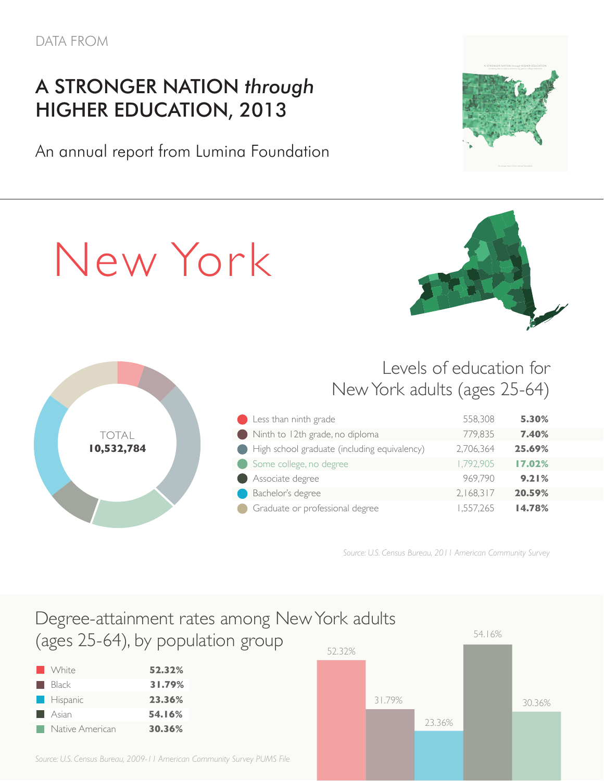I

# A STRONGER NATION *through* HIGHER EDUCATION, 2013

An annual report from Lumina Foundation

New York

n New York, 44.6 percent of the state's 10.5 million working-age

Levels of education for New York adults (ages 25-64)

|            | Less than ninth grade                        | 558,308   | 5.30%  |  |
|------------|----------------------------------------------|-----------|--------|--|
| TOTAL      | Ninth to 12th grade, no diploma<br>e a l     | 779,835   | 7.40%  |  |
| 10,532,784 | High school graduate (including equivalency) | 2,706,364 | 25.69% |  |
|            | Some college, no degree                      | 1,792,905 | 17.02% |  |
|            | Associate degree                             | 969.790   | 9.21%  |  |
|            | Bachelor's degree                            | 2,168,317 | 20.59% |  |
|            | Graduate or professional degree              | 1,557,265 | 14.78% |  |

Source: U.S. Census Bureau, 2011 American Community Survey rate for each New York county. The data show that increasing

#### Degree-attainment rates among New York adults (ages 25-64), by population group egree-attainment rates among INe' ges 25-64), by population group  $t \sim \frac{1}{2}$  groups that will account for a groups that will account for a groups that will account for a growing proportion of the state state  $\sim$  population, including working working working working  $\sim$

| <b>No. 1</b> White | 52.32% |
|--------------------|--------|
| <b>Black</b>       | 31.79% |
| $\Box$ Hispanic    | 23.36% |
| <b>Asian</b>       | 54.16% |
| Native American    | 30.36% |

*Source: U.S. Census Bureau, 2009-11 American Community Survey PUMS File*



There is also reason for optimism about the educational trends in New York. The best indicator of where at the best indicator of where at the best indicator of where at the best indicator of where  $\alpha$ heading is the rate among young adults — those between the ages



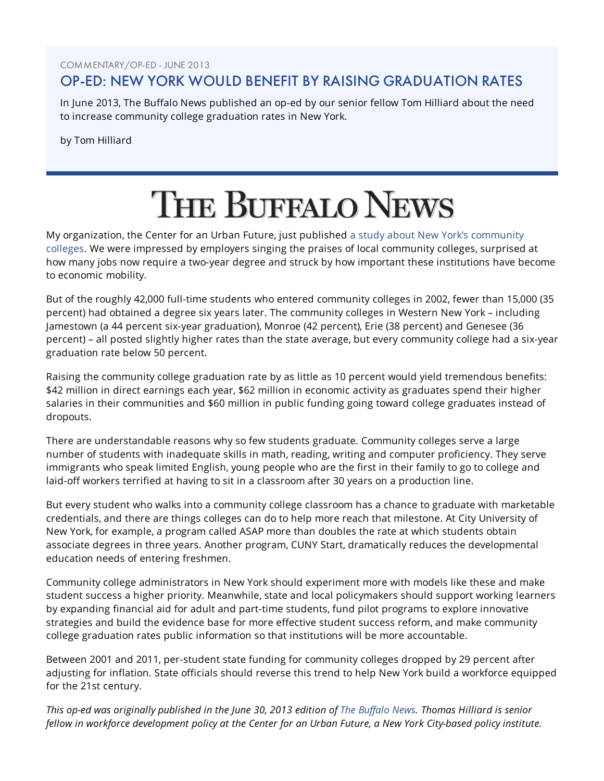COMMENTARY/OP-ED - JUNE 2013

## OP-ED: NEW YORK WOULD BENEFIT BY RAISING GRADUATION RATES

In June 2013, The Buffalo News published an op-ed by our senior fellow Tom Hilliard about the need to increase community college graduation rates in New York.

by Tom Hilliard

# **THE BUFFALO NEWS**

[My organization, the Center for an Urban Future, just published a study about New York's community](http://nycfuture.org/research/publications/completion-day) colleges. We were impressed by employers singing the praises of local community colleges, surprised at how many jobs now require a two-year degree and struck by how important these institutions have become to economic mobility.

But of the roughly 42,000 full-time students who entered community colleges in 2002, fewer than 15,000 (35 percent) had obtained a degree six years later. The community colleges in Western New York – including Jamestown (a 44 percent six-year graduation), Monroe (42 percent), Erie (38 percent) and Genesee (36 percent) – all posted slightly higher rates than the state average, but every community college had a six-year graduation rate below 50 percent.

Raising the community college graduation rate by as little as 10 percent would yield tremendous benefits: \$42 million in direct earnings each year, \$62 million in economic activity as graduates spend their higher salaries in their communities and \$60 million in public funding going toward college graduates instead of dropouts.

There are understandable reasons why so few students graduate. Community colleges serve a large number of students with inadequate skills in math, reading, writing and computer proficiency. They serve immigrants who speak limited English, young people who are the first in their family to go to college and laid-off workers terrified at having to sit in a classroom after 30 years on a production line.

But every student who walks into a community college classroom has a chance to graduate with marketable credentials, and there are things colleges can do to help more reach that milestone. At City University of New York, for example, a program called ASAP more than doubles the rate at which students obtain associate degrees in three years. Another program, CUNY Start, dramatically reduces the developmental education needs of entering freshmen.

Community college administrators in New York should experiment more with models like these and make student success a higher priority. Meanwhile, state and local policymakers should support working learners by expanding financial aid for adult and part-time students, fund pilot programs to explore innovative strategies and build the evidence base for more effective student success reform, and make community college graduation rates public information so that institutions will be more accountable.

Between 2001 and 2011, per-student state funding for community colleges dropped by 29 percent after adjusting for inflation. State officials should reverse this trend to help New York build a workforce equipped for the 21st century.

This op-ed was originally published in the June 30, 2013 edition of [The Buffalo News](http://www.buffalonews.com/apps/pbcs.dll/article?AID=/20130630/OPINION/130639941/1074). Thomas Hilliard is senior fellow in workforce development policy at the Center for an Urban Future, a New York City-based policy institute.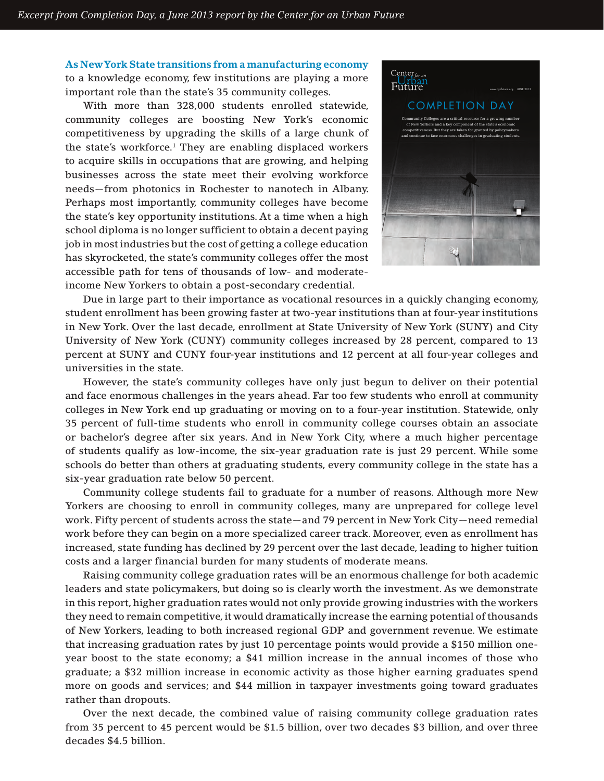**As New York State transitions from a manufacturing economy**  to a knowledge economy, few institutions are playing a more important role than the state's 35 community colleges.

With more than 328,000 students enrolled statewide, community colleges are boosting New York's economic competitiveness by upgrading the skills of a large chunk of the state's workforce.<sup>1</sup> They are enabling displaced workers to acquire skills in occupations that are growing, and helping businesses across the state meet their evolving workforce needs—from photonics in Rochester to nanotech in Albany. Perhaps most importantly, community colleges have become the state's key opportunity institutions. At a time when a high school diploma is no longer sufficient to obtain a decent paying job in most industries but the cost of getting a college education has skyrocketed, the state's community colleges offer the most accessible path for tens of thousands of low- and moderateincome New Yorkers to obtain a post-secondary credential.



Due in large part to their importance as vocational resources in a quickly changing economy, student enrollment has been growing faster at two-year institutions than at four-year institutions in New York. Over the last decade, enrollment at State University of New York (SUNY) and City University of New York (CUNY) community colleges increased by 28 percent, compared to 13 percent at SUNY and CUNY four-year institutions and 12 percent at all four-year colleges and universities in the state.

However, the state's community colleges have only just begun to deliver on their potential and face enormous challenges in the years ahead. Far too few students who enroll at community colleges in New York end up graduating or moving on to a four-year institution. Statewide, only 35 percent of full-time students who enroll in community college courses obtain an associate or bachelor's degree after six years. And in New York City, where a much higher percentage of students qualify as low-income, the six-year graduation rate is just 29 percent. While some schools do better than others at graduating students, every community college in the state has a six-year graduation rate below 50 percent.

Community college students fail to graduate for a number of reasons. Although more New Yorkers are choosing to enroll in community colleges, many are unprepared for college level work. Fifty percent of students across the state—and 79 percent in New York City—need remedial work before they can begin on a more specialized career track. Moreover, even as enrollment has increased, state funding has declined by 29 percent over the last decade, leading to higher tuition costs and a larger financial burden for many students of moderate means.

Raising community college graduation rates will be an enormous challenge for both academic leaders and state policymakers, but doing so is clearly worth the investment. As we demonstrate in this report, higher graduation rates would not only provide growing industries with the workers they need to remain competitive, it would dramatically increase the earning potential of thousands of New Yorkers, leading to both increased regional GDP and government revenue. We estimate that increasing graduation rates by just 10 percentage points would provide a \$150 million oneyear boost to the state economy; a \$41 million increase in the annual incomes of those who graduate; a \$32 million increase in economic activity as those higher earning graduates spend more on goods and services; and \$44 million in taxpayer investments going toward graduates rather than dropouts.

Over the next decade, the combined value of raising community college graduation rates from 35 percent to 45 percent would be \$1.5 billion, over two decades \$3 billion, and over three decades \$4.5 billion.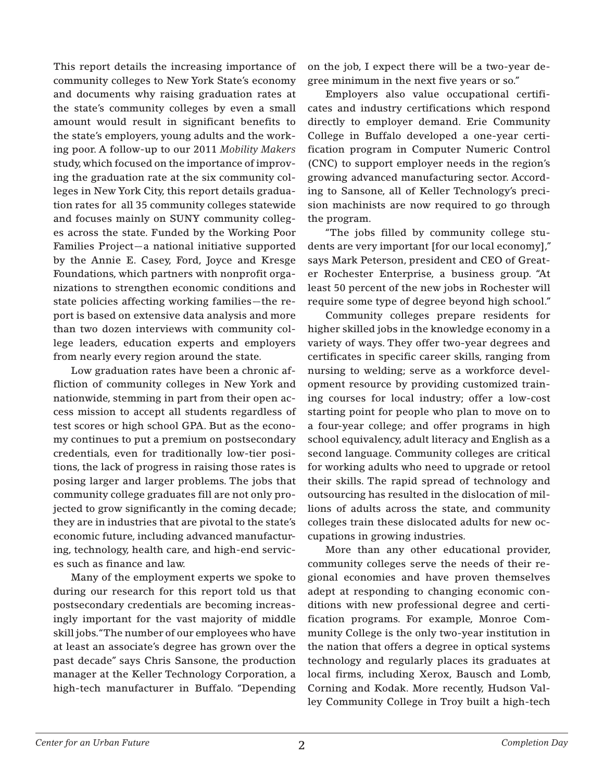This report details the increasing importance of community colleges to New York State's economy and documents why raising graduation rates at the state's community colleges by even a small amount would result in significant benefits to the state's employers, young adults and the working poor. A follow-up to our 2011 *Mobility Makers*  study, which focused on the importance of improving the graduation rate at the six community colleges in New York City, this report details graduation rates for all 35 community colleges statewide and focuses mainly on SUNY community colleges across the state. Funded by the Working Poor Families Project—a national initiative supported by the Annie E. Casey, Ford, Joyce and Kresge Foundations, which partners with nonprofit organizations to strengthen economic conditions and state policies affecting working families—the report is based on extensive data analysis and more than two dozen interviews with community college leaders, education experts and employers from nearly every region around the state.

Low graduation rates have been a chronic affliction of community colleges in New York and nationwide, stemming in part from their open access mission to accept all students regardless of test scores or high school GPA. But as the economy continues to put a premium on postsecondary credentials, even for traditionally low-tier positions, the lack of progress in raising those rates is posing larger and larger problems. The jobs that community college graduates fill are not only projected to grow significantly in the coming decade; they are in industries that are pivotal to the state's economic future, including advanced manufacturing, technology, health care, and high-end services such as finance and law.

Many of the employment experts we spoke to during our research for this report told us that postsecondary credentials are becoming increasingly important for the vast majority of middle skill jobs. "The number of our employees who have at least an associate's degree has grown over the past decade" says Chris Sansone, the production manager at the Keller Technology Corporation, a high-tech manufacturer in Buffalo. "Depending

on the job, I expect there will be a two-year degree minimum in the next five years or so."

Employers also value occupational certificates and industry certifications which respond directly to employer demand. Erie Community College in Buffalo developed a one-year certification program in Computer Numeric Control (CNC) to support employer needs in the region's growing advanced manufacturing sector. According to Sansone, all of Keller Technology's precision machinists are now required to go through the program.

"The jobs filled by community college students are very important [for our local economy]," says Mark Peterson, president and CEO of Greater Rochester Enterprise, a business group. "At least 50 percent of the new jobs in Rochester will require some type of degree beyond high school."

Community colleges prepare residents for higher skilled jobs in the knowledge economy in a variety of ways. They offer two-year degrees and certificates in specific career skills, ranging from nursing to welding; serve as a workforce development resource by providing customized training courses for local industry; offer a low-cost starting point for people who plan to move on to a four-year college; and offer programs in high school equivalency, adult literacy and English as a second language. Community colleges are critical for working adults who need to upgrade or retool their skills. The rapid spread of technology and outsourcing has resulted in the dislocation of millions of adults across the state, and community colleges train these dislocated adults for new occupations in growing industries.

More than any other educational provider, community colleges serve the needs of their regional economies and have proven themselves adept at responding to changing economic conditions with new professional degree and certification programs. For example, Monroe Community College is the only two-year institution in the nation that offers a degree in optical systems technology and regularly places its graduates at local firms, including Xerox, Bausch and Lomb, Corning and Kodak. More recently, Hudson Valley Community College in Troy built a high-tech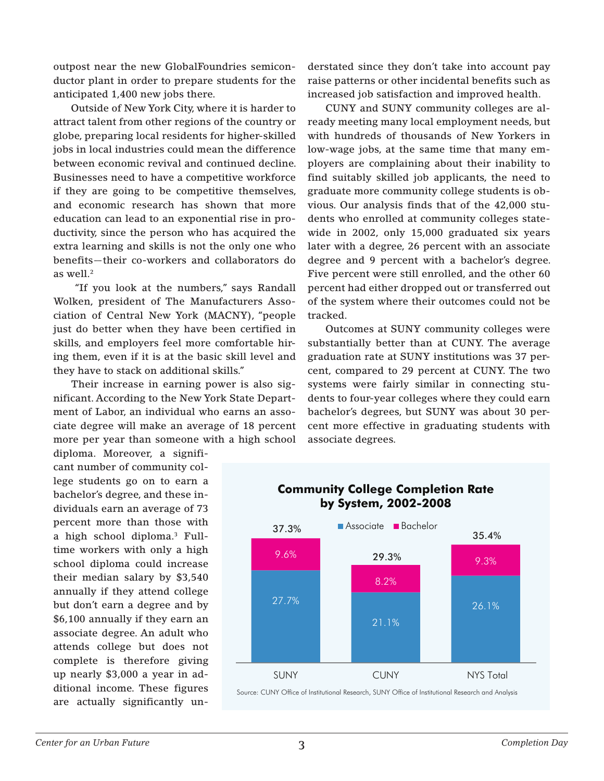outpost near the new GlobalFoundries semiconductor plant in order to prepare students for the anticipated 1,400 new jobs there.

Outside of New York City, where it is harder to attract talent from other regions of the country or globe, preparing local residents for higher-skilled jobs in local industries could mean the difference between economic revival and continued decline. Businesses need to have a competitive workforce if they are going to be competitive themselves, and economic research has shown that more education can lead to an exponential rise in productivity, since the person who has acquired the extra learning and skills is not the only one who benefits—their co-workers and collaborators do as well.2

 "If you look at the numbers," says Randall Wolken, president of The Manufacturers Association of Central New York (MACNY), "people just do better when they have been certified in skills, and employers feel more comfortable hiring them, even if it is at the basic skill level and they have to stack on additional skills."

Their increase in earning power is also significant. According to the New York State Department of Labor, an individual who earns an associate degree will make an average of 18 percent more per year than someone with a high school

diploma. Moreover, a significant number of community college students go on to earn a bachelor's degree, and these individuals earn an average of 73 percent more than those with a high school diploma.3 Fulltime workers with only a high school diploma could increase their median salary by \$3,540 annually if they attend college but don't earn a degree and by \$6,100 annually if they earn an associate degree. An adult who attends college but does not complete is therefore giving up nearly \$3,000 a year in additional income. These figures are actually significantly un-

derstated since they don't take into account pay raise patterns or other incidental benefits such as increased job satisfaction and improved health.

CUNY and SUNY community colleges are already meeting many local employment needs, but with hundreds of thousands of New Yorkers in low-wage jobs, at the same time that many employers are complaining about their inability to find suitably skilled job applicants, the need to graduate more community college students is obvious. Our analysis finds that of the 42,000 students who enrolled at community colleges statewide in 2002, only 15,000 graduated six years later with a degree, 26 percent with an associate degree and 9 percent with a bachelor's degree. Five percent were still enrolled, and the other 60 percent had either dropped out or transferred out of the system where their outcomes could not be tracked.

Outcomes at SUNY community colleges were substantially better than at CUNY. The average graduation rate at SUNY institutions was 37 percent, compared to 29 percent at CUNY. The two systems were fairly similar in connecting students to four-year colleges where they could earn bachelor's degrees, but SUNY was about 30 percent more effective in graduating students with associate degrees.



Source: CUNY Office of Institutional Research, SUNY Office of Institutional Research and Analysis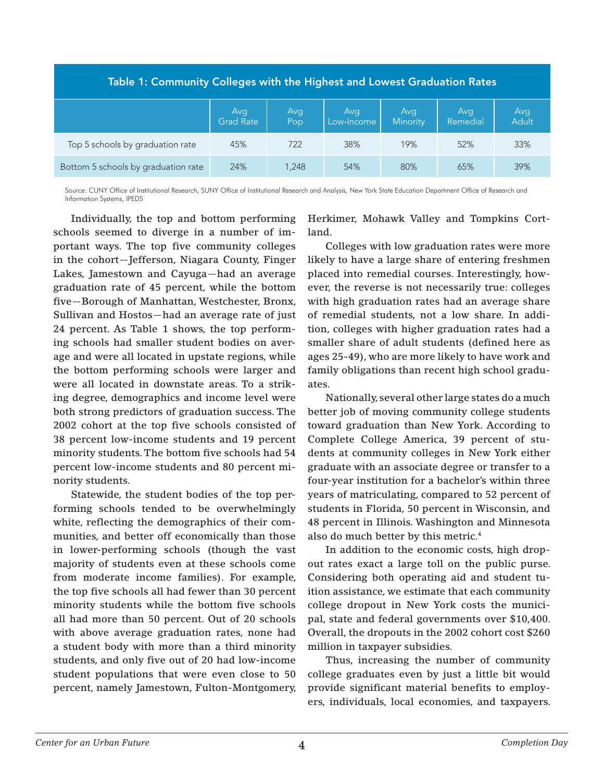| Table 1: Community Colleges with the Highest and Lowest Graduation Rates |                         |            |                   |                 |                 |                     |
|--------------------------------------------------------------------------|-------------------------|------------|-------------------|-----------------|-----------------|---------------------|
|                                                                          | Avg<br><b>Grad Rate</b> | Avg<br>Pop | Avg<br>Low-Income | Avg<br>Minority | Avg<br>Remedial | Avg<br><b>Adult</b> |
| Top 5 schools by graduation rate                                         | 45%                     | 722        | 38%               | 19%             | 52%             | 33%                 |
| Bottom 5 schools by graduation rate                                      | 24%                     | 1.248      | 54%               | 80%             | 65%             | 39%                 |

Source: CUNY Office of Institutional Research, SUNY Office of Institutional Research and Analysis, New York State Education Department Office of Research and Information Systems, IPEDS

Individually, the top and bottom performing schools seemed to diverge in a number of important ways. The top five community colleges in the cohort—Jefferson, Niagara County, Finger Lakes, Jamestown and Cayuga—had an average graduation rate of 45 percent, while the bottom five—Borough of Manhattan, Westchester, Bronx, Sullivan and Hostos—had an average rate of just 24 percent. As Table 1 shows, the top performing schools had smaller student bodies on average and were all located in upstate regions, while the bottom performing schools were larger and were all located in downstate areas. To a striking degree, demographics and income level were both strong predictors of graduation success. The 2002 cohort at the top five schools consisted of 38 percent low-income students and 19 percent minority students. The bottom five schools had 54 percent low-income students and 80 percent minority students.

Statewide, the student bodies of the top performing schools tended to be overwhelmingly white, reflecting the demographics of their communities, and better off economically than those in lower-performing schools (though the vast majority of students even at these schools come from moderate income families). For example, the top five schools all had fewer than 30 percent minority students while the bottom five schools all had more than 50 percent. Out of 20 schools with above average graduation rates, none had a student body with more than a third minority students, and only five out of 20 had low-income student populations that were even close to 50 percent, namely Jamestown, Fulton-Montgomery,

Herkimer, Mohawk Valley and Tompkins Cortland.

Colleges with low graduation rates were more likely to have a large share of entering freshmen placed into remedial courses. Interestingly, however, the reverse is not necessarily true: colleges with high graduation rates had an average share of remedial students, not a low share. In addition, colleges with higher graduation rates had a smaller share of adult students (defined here as ages 25-49), who are more likely to have work and family obligations than recent high school graduates.

Nationally, several other large states do a much better job of moving community college students toward graduation than New York. According to Complete College America, 39 percent of students at community colleges in New York either graduate with an associate degree or transfer to a four-year institution for a bachelor's within three years of matriculating, compared to 52 percent of students in Florida, 50 percent in Wisconsin, and 48 percent in Illinois. Washington and Minnesota also do much better by this metric.4

In addition to the economic costs, high dropout rates exact a large toll on the public purse. Considering both operating aid and student tuition assistance, we estimate that each community college dropout in New York costs the municipal, state and federal governments over \$10,400. Overall, the dropouts in the 2002 cohort cost \$260 million in taxpayer subsidies.

Thus, increasing the number of community college graduates even by just a little bit would provide significant material benefits to employers, individuals, local economies, and taxpayers.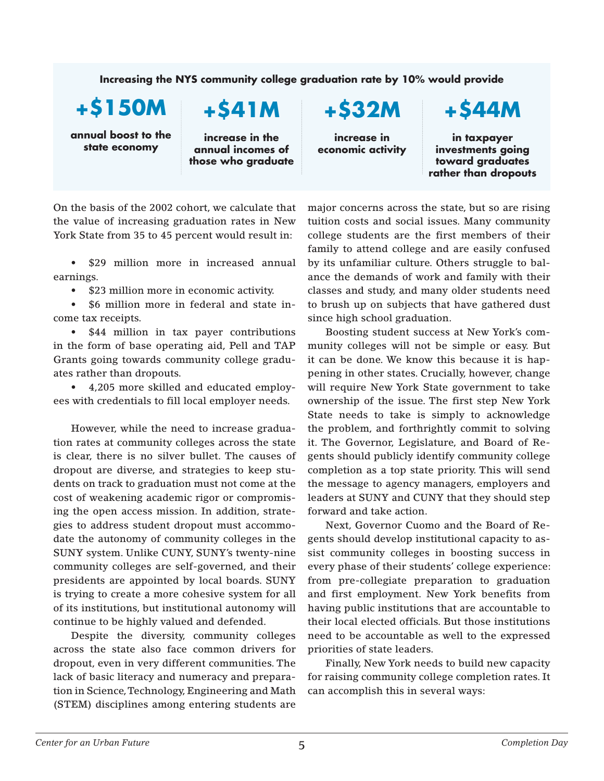## **Increasing the NYS community college graduation rate by 10% would provide**

**+\$150M**

**annual boost to the state economy**

# **+\$41M**

**increase in the annual incomes of those who graduate** **+\$32M**

**increase in economic activity** **+\$44M**

**in taxpayer investments going toward graduates rather than dropouts**

On the basis of the 2002 cohort, we calculate that the value of increasing graduation rates in New York State from 35 to 45 percent would result in:

• \$29 million more in increased annual earnings.

• \$23 million more in economic activity.

• \$6 million more in federal and state income tax receipts.

\$44 million in tax payer contributions in the form of base operating aid, Pell and TAP Grants going towards community college graduates rather than dropouts.

• 4,205 more skilled and educated employees with credentials to fill local employer needs.

However, while the need to increase graduation rates at community colleges across the state is clear, there is no silver bullet. The causes of dropout are diverse, and strategies to keep students on track to graduation must not come at the cost of weakening academic rigor or compromising the open access mission. In addition, strategies to address student dropout must accommodate the autonomy of community colleges in the SUNY system. Unlike CUNY, SUNY's twenty-nine community colleges are self-governed, and their presidents are appointed by local boards. SUNY is trying to create a more cohesive system for all of its institutions, but institutional autonomy will continue to be highly valued and defended.

Despite the diversity, community colleges across the state also face common drivers for dropout, even in very different communities. The lack of basic literacy and numeracy and preparation in Science, Technology, Engineering and Math (STEM) disciplines among entering students are

major concerns across the state, but so are rising tuition costs and social issues. Many community college students are the first members of their family to attend college and are easily confused by its unfamiliar culture. Others struggle to balance the demands of work and family with their classes and study, and many older students need to brush up on subjects that have gathered dust since high school graduation.

Boosting student success at New York's community colleges will not be simple or easy. But it can be done. We know this because it is happening in other states. Crucially, however, change will require New York State government to take ownership of the issue. The first step New York State needs to take is simply to acknowledge the problem, and forthrightly commit to solving it. The Governor, Legislature, and Board of Regents should publicly identify community college completion as a top state priority. This will send the message to agency managers, employers and leaders at SUNY and CUNY that they should step forward and take action.

Next, Governor Cuomo and the Board of Regents should develop institutional capacity to assist community colleges in boosting success in every phase of their students' college experience: from pre-collegiate preparation to graduation and first employment. New York benefits from having public institutions that are accountable to their local elected officials. But those institutions need to be accountable as well to the expressed priorities of state leaders.

Finally, New York needs to build new capacity for raising community college completion rates. It can accomplish this in several ways: